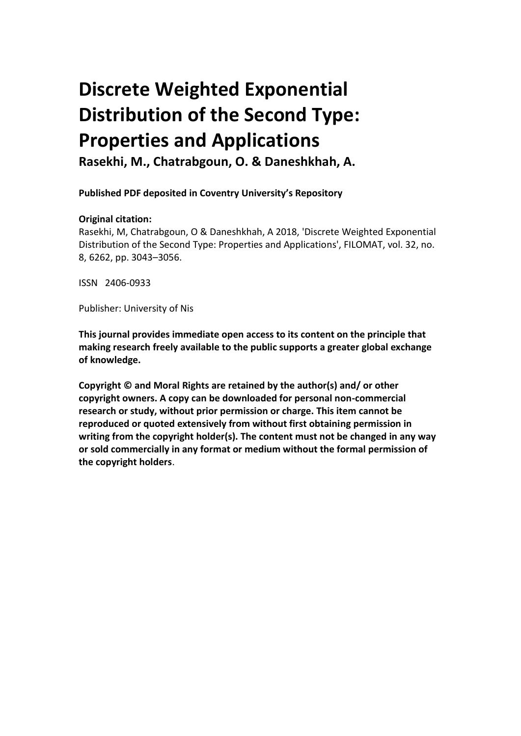# **Discrete Weighted Exponential Distribution of the Second Type: Properties and Applications**

**Rasekhi, M., Chatrabgoun, O. & Daneshkhah, A.**

**Published PDF deposited in Coventry University's Repository** 

## **Original citation:**

Rasekhi, M, Chatrabgoun, O & Daneshkhah, A 2018, 'Discrete Weighted Exponential Distribution of the Second Type: Properties and Applications', FILOMAT, vol. 32, no. 8, 6262, pp. 3043–3056.

ISSN 2406-0933

Publisher: University of Nis

**This journal provides immediate open access to its content on the principle that making research freely available to the public supports a greater global exchange of knowledge.**

**Copyright © and Moral Rights are retained by the author(s) and/ or other copyright owners. A copy can be downloaded for personal non-commercial research or study, without prior permission or charge. This item cannot be reproduced or quoted extensively from without first obtaining permission in writing from the copyright holder(s). The content must not be changed in any way or sold commercially in any format or medium without the formal permission of the copyright holders**.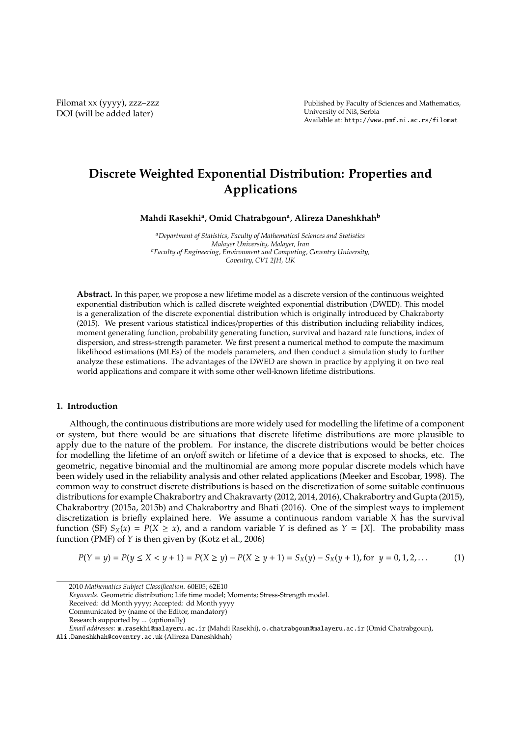Filomat xx (yyyy), zzz–zzz DOI (will be added later)

Published by Faculty of Sciences and Mathematics, University of Niš, Serbia Available at: http://www.pmf.ni.ac.rs/filomat

## **Discrete Weighted Exponential Distribution: Properties and Applications**

**Mahdi Rasekhi<sup>a</sup> , Omid Chatrabgoun<sup>a</sup> , Alireza Daneshkhah<sup>b</sup>**

*<sup>a</sup>Department of Statistics, Faculty of Mathematical Sciences and Statistics Malayer University, Malayer, Iran <sup>b</sup>Faculty of Engineering, Environment and Computing, Coventry University, Coventry, CV1 2JH, UK*

**Abstract.** In this paper, we propose a new lifetime model as a discrete version of the continuous weighted exponential distribution which is called discrete weighted exponential distribution (DWED). This model is a generalization of the discrete exponential distribution which is originally introduced by Chakraborty (2015). We present various statistical indices/properties of this distribution including reliability indices, moment generating function, probability generating function, survival and hazard rate functions, index of dispersion, and stress-strength parameter. We first present a numerical method to compute the maximum likelihood estimations (MLEs) of the models parameters, and then conduct a simulation study to further analyze these estimations. The advantages of the DWED are shown in practice by applying it on two real world applications and compare it with some other well-known lifetime distributions.

#### **1. Introduction**

Although, the continuous distributions are more widely used for modelling the lifetime of a component or system, but there would be are situations that discrete lifetime distributions are more plausible to apply due to the nature of the problem. For instance, the discrete distributions would be better choices for modelling the lifetime of an on/off switch or lifetime of a device that is exposed to shocks, etc. The geometric, negative binomial and the multinomial are among more popular discrete models which have been widely used in the reliability analysis and other related applications (Meeker and Escobar, 1998). The common way to construct discrete distributions is based on the discretization of some suitable continuous distributions for example Chakrabortry and Chakravarty (2012, 2014, 2016), Chakrabortry and Gupta (2015), Chakrabortry (2015a, 2015b) and Chakrabortry and Bhati (2016). One of the simplest ways to implement discretization is briefly explained here. We assume a continuous random variable X has the survival function (SF)  $S_X(x) = P(X \ge x)$ , and a random variable *Y* is defined as  $Y = [X]$ . The probability mass function (PMF) of *Y* is then given by (Kotz et al., 2006)

$$
P(Y = y) = P(y \le X < y + 1) = P(X \ge y) - P(X \ge y + 1) = S_X(y) - S_X(y + 1), \text{ for } y = 0, 1, 2, \dots
$$
\n(1)

<sup>2010</sup> *Mathematics Subject Classification*. 60E05; 62E10

*Keywords*. Geometric distribution; Life time model; Moments; Stress-Strength model.

Received: dd Month yyyy; Accepted: dd Month yyyy

Communicated by (name of the Editor, mandatory)

Research supported by ... (optionally)

*Email addresses:* m.rasekhi@malayeru.ac.ir (Mahdi Rasekhi), o.chatrabgoun@malayeru.ac.ir (Omid Chatrabgoun),

Ali.Daneshkhah@coventry.ac.uk (Alireza Daneshkhah)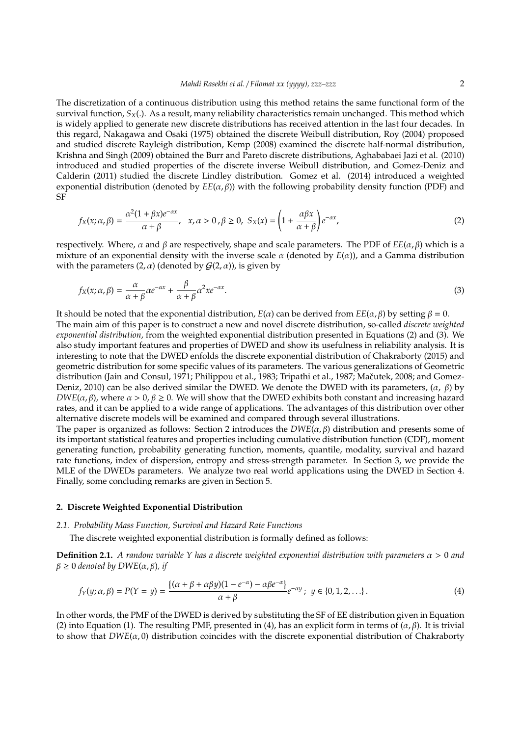The discretization of a continuous distribution using this method retains the same functional form of the survival function, *SX*(.). As a result, many reliability characteristics remain unchanged. This method which is widely applied to generate new discrete distributions has received attention in the last four decades. In this regard, Nakagawa and Osaki (1975) obtained the discrete Weibull distribution, Roy (2004) proposed and studied discrete Rayleigh distribution, Kemp (2008) examined the discrete half-normal distribution, Krishna and Singh (2009) obtained the Burr and Pareto discrete distributions, Aghababaei Jazi et al. (2010) introduced and studied properties of the discrete inverse Weibull distribution, and Gomez-Deniz and Calderin (2011) studied the discrete Lindley distribution. Gomez et al. (2014) introduced a weighted exponential distribution (denoted by  $E(E(\alpha, \beta))$  with the following probability density function (PDF) and SF

$$
f_X(x;\alpha,\beta) = \frac{\alpha^2(1+\beta x)e^{-\alpha x}}{\alpha+\beta}, \quad x, \alpha > 0, \beta \ge 0, \quad S_X(x) = \left(1 + \frac{\alpha\beta x}{\alpha+\beta}\right)e^{-\alpha x},\tag{2}
$$

respectively. Where, α and β are respectively, shape and scale parameters. The PDF of *EE*(α, β) which is a mixture of an exponential density with the inverse scale  $\alpha$  (denoted by  $E(\alpha)$ ), and a Gamma distribution with the parameters  $(2, \alpha)$  (denoted by  $G(2, \alpha)$ ), is given by

$$
f_X(x; \alpha, \beta) = \frac{\alpha}{\alpha + \beta} \alpha e^{-\alpha x} + \frac{\beta}{\alpha + \beta} \alpha^2 x e^{-\alpha x}.
$$
\n(3)

It should be noted that the exponential distribution,  $E(α)$  can be derived from  $EE(α, β)$  by setting  $β = 0$ . The main aim of this paper is to construct a new and novel discrete distribution, so-called *discrete weighted exponential distribution*, from the weighted exponential distribution presented in Equations (2) and (3). We also study important features and properties of DWED and show its usefulness in reliability analysis. It is interesting to note that the DWED enfolds the discrete exponential distribution of Chakraborty (2015) and geometric distribution for some specific values of its parameters. The various generalizations of Geometric distribution (Jain and Consul, 1971; Philippou et al., 1983; Tripathi et al., 1987; Mačutek, 2008; and Gomez-Deniz, 2010) can be also derived similar the DWED. We denote the DWED with its parameters,  $(\alpha, \beta)$  by *DWE*( $\alpha$ ,  $\beta$ ), where  $\alpha > 0$ ,  $\beta \ge 0$ . We will show that the DWED exhibits both constant and increasing hazard rates, and it can be applied to a wide range of applications. The advantages of this distribution over other alternative discrete models will be examined and compared through several illustrations.

The paper is organized as follows: Section 2 introduces the  $DWE(\alpha, \beta)$  distribution and presents some of its important statistical features and properties including cumulative distribution function (CDF), moment generating function, probability generating function, moments, quantile, modality, survival and hazard rate functions, index of dispersion, entropy and stress-strength parameter. In Section 3, we provide the MLE of the DWEDs parameters. We analyze two real world applications using the DWED in Section 4. Finally, some concluding remarks are given in Section 5.

#### **2. Discrete Weighted Exponential Distribution**

#### *2.1. Probability Mass Function, Survival and Hazard Rate Functions*

The discrete weighted exponential distribution is formally defined as follows:

**Definition 2.1.** *A random variable Y has a discrete weighted exponential distribution with parameters*  $\alpha > 0$  *and*  $β ≥ 0$  *denoted by DWE*( $α$ ,  $β$ ), *if* 

$$
f_Y(y; \alpha, \beta) = P(Y = y) = \frac{\{(\alpha + \beta + \alpha\beta y)(1 - e^{-\alpha}) - \alpha\beta e^{-\alpha}\}}{\alpha + \beta} e^{-\alpha y}; \ y \in \{0, 1, 2, \ldots\}.
$$
 (4)

In other words, the PMF of the DWED is derived by substituting the SF of EE distribution given in Equation (2) into Equation (1). The resulting PMF, presented in (4), has an explicit form in terms of ( $\alpha$ ,  $\beta$ ). It is trivial to show that  $DWE(\alpha, 0)$  distribution coincides with the discrete exponential distribution of Chakraborty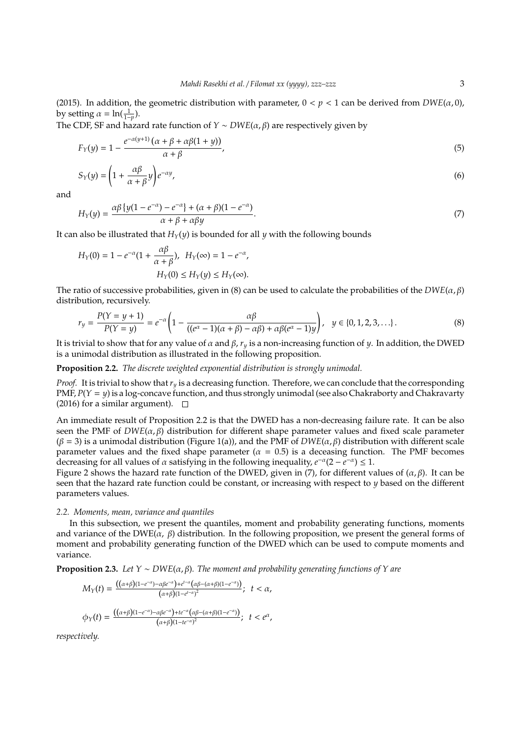(2015). In addition, the geometric distribution with parameter,  $0 < p < 1$  can be derived from  $DWE(\alpha, 0)$ , by setting  $\alpha = \ln(\frac{1}{1-p}).$ 

The CDF, SF and hazard rate function of *Y* ∼ *DWE*( $\alpha$ , $\beta$ ) are respectively given by

$$
F_Y(y) = 1 - \frac{e^{-\alpha(y+1)}(\alpha + \beta + \alpha\beta(1+y))}{\alpha + \beta},\tag{5}
$$

$$
S_Y(y) = \left(1 + \frac{\alpha \beta}{\alpha + \beta} y\right) e^{-\alpha y},\tag{6}
$$

and

$$
H_Y(y) = \frac{\alpha \beta \left\{ y(1 - e^{-\alpha}) - e^{-\alpha} \right\} + (\alpha + \beta)(1 - e^{-\alpha})}{\alpha + \beta + \alpha \beta y}.
$$
\n
$$
(7)
$$

It can also be illustrated that  $H_Y(y)$  is bounded for all *y* with the following bounds

$$
H_Y(0) = 1 - e^{-\alpha} (1 + \frac{\alpha \beta}{\alpha + \beta}), \quad H_Y(\infty) = 1 - e^{-\alpha},
$$

$$
H_Y(0) \le H_Y(y) \le H_Y(\infty).
$$

The ratio of successive probabilities, given in (8) can be used to calculate the probabilities of the  $DWE(\alpha, \beta)$ distribution, recursively.

$$
r_y = \frac{P(Y = y + 1)}{P(Y = y)} = e^{-\alpha} \left( 1 - \frac{\alpha \beta}{((e^{\alpha} - 1)(\alpha + \beta) - \alpha \beta) + \alpha \beta (e^{\alpha} - 1)y} \right), \quad y \in \{0, 1, 2, 3, ...\}.
$$
 (8)

It is trivial to show that for any value of  $\alpha$  and  $\beta$ ,  $r_y$  is a non-increasing function of  $\psi$ . In addition, the DWED is a unimodal distribution as illustrated in the following proposition.

**Proposition 2.2.** *The discrete weighted exponential distribution is strongly unimodal.*

*Proof.* It is trivial to show that*r<sup>y</sup>* is a decreasing function. Therefore, we can conclude that the corresponding PMF, *P*(*Y* = *y*) is a log-concave function, and thus strongly unimodal (see also Chakraborty and Chakravarty (2016) for a similar argument).  $\square$ 

An immediate result of Proposition 2.2 is that the DWED has a non-decreasing failure rate. It can be also seen the PMF of  $DWE(\alpha, \beta)$  distribution for different shape parameter values and fixed scale parameter (β = 3) is a unimodal distribution (Figure 1(a)), and the PMF of *DWE*(α, β) distribution with different scale parameter values and the fixed shape parameter ( $\alpha = 0.5$ ) is a deceasing function. The PMF becomes decreasing for all values of  $\alpha$  satisfying in the following inequality,  $e^{-\alpha}(2 - e^{-\alpha}) \leq 1$ .

Figure 2 shows the hazard rate function of the DWED, given in (7), for different values of  $(\alpha, \beta)$ . It can be seen that the hazard rate function could be constant, or increasing with respect to *y* based on the different parameters values.

#### *2.2. Moments, mean, variance and quantiles*

In this subsection, we present the quantiles, moment and probability generating functions, moments and variance of the DWE( $\alpha$ ,  $\beta$ ) distribution. In the following proposition, we present the general forms of moment and probability generating function of the DWED which can be used to compute moments and variance.

**Proposition 2.3.** *Let*  $Y \sim DWE(\alpha, \beta)$ *. The moment and probability generating functions of*  $Y$  *are* 

$$
M_Y(t) = \frac{((\alpha+\beta)(1-e^{-\alpha})-\alpha\beta e^{-\alpha})+e^{t-\alpha}(\alpha\beta-(\alpha+\beta)(1-e^{-\alpha}))}{(\alpha+\beta)(1-e^{t-\alpha})^2}; \quad t < \alpha,
$$
  

$$
\phi_Y(t) = \frac{((\alpha+\beta)(1-e^{-\alpha})-\alpha\beta e^{-\alpha})+te^{-\alpha}(\alpha\beta-(\alpha+\beta)(1-e^{-\alpha}))}{(\alpha+\beta)(1-te^{-\alpha})^2}; \quad t < e^{\alpha},
$$

*respectively.*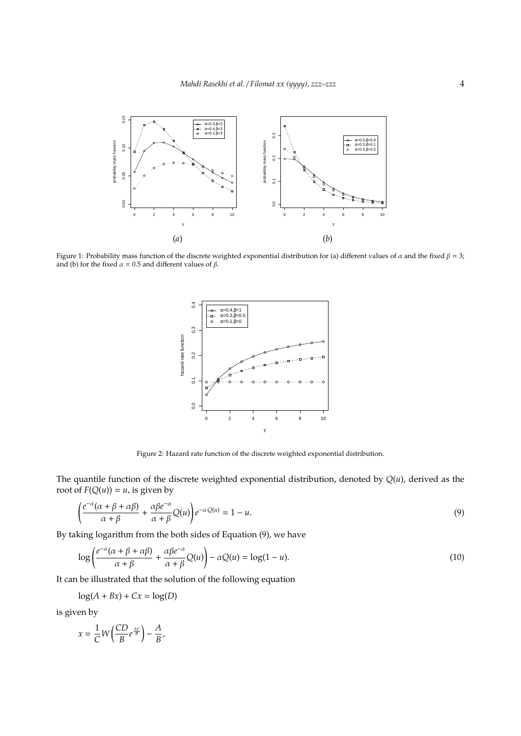

Figure 1: Probability mass function of the discrete weighted exponential distribution for (a) different values of  $\alpha$  and the fixed  $\beta = 3$ ; and (b) for the fixed  $\alpha = 0.5$  and different values of  $\beta$ .



Figure 2: Hazard rate function of the discrete weighted exponential distribution.

The quantile function of the discrete weighted exponential distribution, denoted by *Q*(*u*), derived as the root of  $F(Q(u)) = u$ , is given by

$$
\left(\frac{e^{-\alpha}(\alpha+\beta+\alpha\beta)}{\alpha+\beta}+\frac{\alpha\beta e^{-\alpha}}{\alpha+\beta}Q(u)\right)e^{-\alpha Q(u)}=1-u.
$$
\n(9)

By taking logarithm from the both sides of Equation (9), we have

$$
\log\left(\frac{e^{-\alpha}(\alpha+\beta+\alpha\beta)}{\alpha+\beta}+\frac{\alpha\beta e^{-\alpha}}{\alpha+\beta}Q(u)\right)-\alpha Q(u)=\log(1-u). \tag{10}
$$

It can be illustrated that the solution of the following equation

$$
\log(A + Bx) + Cx = \log(D)
$$

is given by

$$
x = \frac{1}{C}W\left(\frac{CD}{B}e^{\frac{AC}{B}}\right) - \frac{A}{B},
$$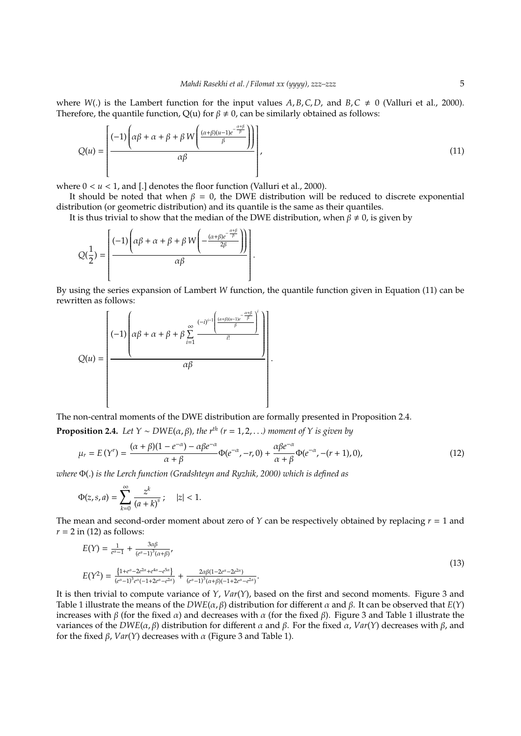where  $W(.)$  is the Lambert function for the input values  $A, B, C, D$ , and  $B, C \neq 0$  (Valluri et al., 2000). Therefore, the quantile function,  $Q(u)$  for  $\beta \neq 0$ , can be similarly obtained as follows:

$$
Q(u) = \left[\frac{(-1)\left(\alpha\beta + \alpha + \beta + \beta W\left(\frac{(\alpha+\beta)(u-1)e^{-\frac{\alpha+\beta}{\beta}}}{\beta}\right)\right)}{\alpha\beta}\right],\tag{11}
$$

where  $0 < u < 1$ , and [.] denotes the floor function (Valluri et al., 2000).

It should be noted that when  $\beta = 0$ , the DWE distribution will be reduced to discrete exponential distribution (or geometric distribution) and its quantile is the same as their quantiles.

It is thus trivial to show that the median of the DWE distribution, when  $\beta \neq 0$ , is given by

$$
Q(\frac{1}{2}) = \left[\frac{(-1)\left(\alpha\beta + \alpha + \beta + \beta W\left(-\frac{(\alpha+\beta)e^{-\frac{\alpha+\beta}{\beta}}}{2\beta}\right)\right)}{\alpha\beta}\right]
$$

By using the series expansion of Lambert *W* function, the quantile function given in Equation (11) can be rewritten as follows:

.

$$
Q(u) = \left[\begin{array}{c}(-1)\left(\alpha\beta + \alpha + \beta + \beta\sum\limits_{i=1}^{\infty}\frac{(-i)^{i-1}\left(\frac{(\alpha+\beta)(u-1)e^{-\frac{\alpha+\beta}{\beta}}}{\beta}\right)^{i}}{i!}\right)\\ \alpha\beta\end{array}\right].
$$

The non-central moments of the DWE distribution are formally presented in Proposition 2.4.

**Proposition 2.4.** *Let*  $Y \sim DWE(\alpha, \beta)$ *, the*  $r^{th}$  ( $r = 1, 2, ...$ *) moment of*  $Y$  *is given by* 

$$
\mu_r = E(Y^r) = \frac{(\alpha + \beta)(1 - e^{-\alpha}) - \alpha \beta e^{-\alpha}}{\alpha + \beta} \Phi(e^{-\alpha}, -r, 0) + \frac{\alpha \beta e^{-\alpha}}{\alpha + \beta} \Phi(e^{-\alpha}, -(r+1), 0),\tag{12}
$$

*where* Φ(.) *is the Lerch function (Gradshteyn and Ryzhik, 2000) which is defined as*

$$
\Phi(z,s,a) = \sum_{k=0}^{\infty} \frac{z^k}{(a+k)^s} ; \quad |z| < 1.
$$

The mean and second-order moment about zero of  $Y$  can be respectively obtained by replacing  $r = 1$  and  $r = 2$  in (12) as follows:

$$
E(Y) = \frac{1}{e^{\alpha} - 1} + \frac{3\alpha\beta}{(e^{\alpha} - 1)^{3}(\alpha + \beta)},
$$
  
\n
$$
E(Y^{2}) = \frac{\{1 + e^{\alpha} - 2e^{2\alpha} + e^{4\alpha} - e^{5\alpha}\}}{(e^{\alpha} - 1)^{3}e^{\alpha}(-1 + 2e^{\alpha} - e^{2\alpha})} + \frac{2\alpha\beta(1 - 2e^{\alpha} - 2e^{2\alpha})}{(e^{\alpha} - 1)^{3}(\alpha + \beta)(-1 + 2e^{\alpha} - e^{2\alpha})}.
$$
\n(13)

It is then trivial to compute variance of *Y*, *Var*(*Y*), based on the first and second moments. Figure 3 and Table 1 illustrate the means of the *DWE*(α, β) distribution for different α and β. It can be observed that *E*(*Y*) increases with β (for the fixed  $\alpha$ ) and decreases with  $\alpha$  (for the fixed β). Figure 3 and Table 1 illustrate the variances of the *DWE*(α, β) distribution for different α and β. For the fixed α, *Var*(*Y*) decreases with β, and for the fixed β, *Var*(*Y*) decreases with α (Figure 3 and Table 1).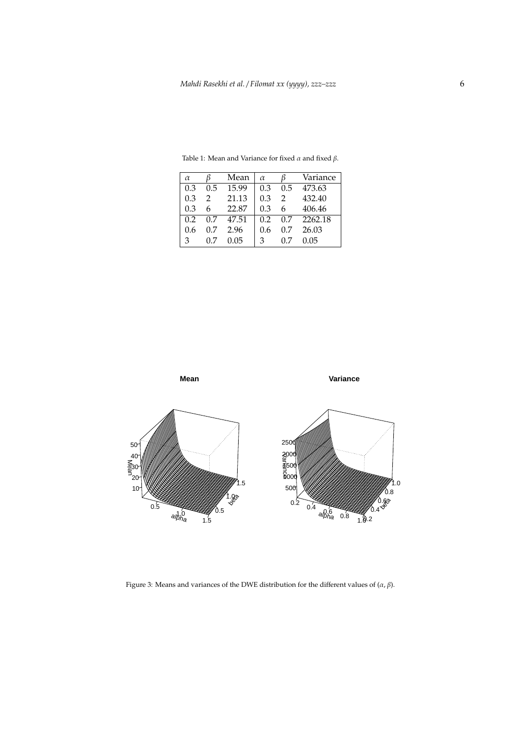| $\alpha$ |     | Mean  | $\alpha$ |               | Variance |
|----------|-----|-------|----------|---------------|----------|
| 0.3      | 0.5 | 15.99 | 0.3      | 0.5           | 473.63   |
| 0.3      | 2   | 21.13 | 0.3      | $\mathcal{P}$ | 432.40   |
| 0.3      | 6   | 22.87 | 0.3      | 6             | 406.46   |
| 0.2      | 0.7 | 47.51 | 0.2      | 0.7           | 2262.18  |
| 0.6      | 0.7 | 2.96  | 0.6      | 07            | 26.03    |
| 3        |     | 0.05  | 3        |               | 0.05     |

Table 1: Mean and Variance for fixed  $\alpha$  and fixed  $\beta$ .



Figure 3: Means and variances of the DWE distribution for the different values of  $(\alpha, \beta)$ .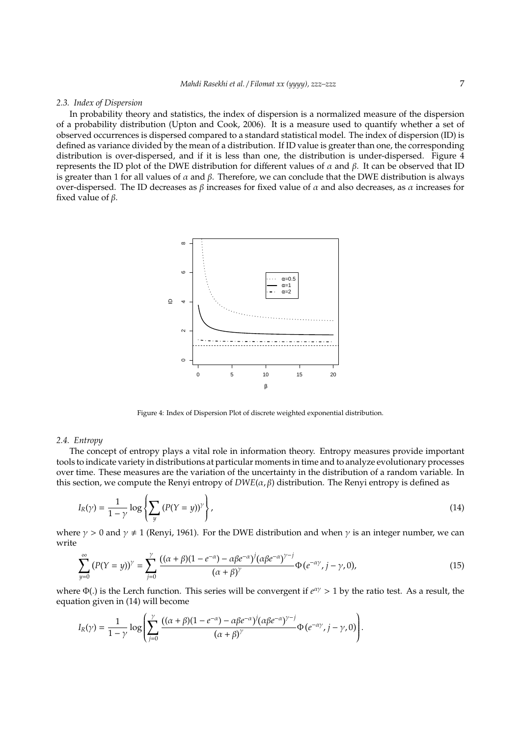#### *2.3. Index of Dispersion*

In probability theory and statistics, the index of dispersion is a normalized measure of the dispersion of a probability distribution (Upton and Cook, 2006). It is a measure used to quantify whether a set of observed occurrences is dispersed compared to a standard statistical model. The index of dispersion (ID) is defined as variance divided by the mean of a distribution. If ID value is greater than one, the corresponding distribution is over-dispersed, and if it is less than one, the distribution is under-dispersed. Figure 4 represents the ID plot of the DWE distribution for different values of  $α$  and  $β$ . It can be observed that ID is greater than 1 for all values of  $\alpha$  and  $\beta$ . Therefore, we can conclude that the DWE distribution is always over-dispersed. The ID decreases as β increases for fixed value of  $\alpha$  and also decreases, as  $\alpha$  increases for fixed value of  $\beta$ .



Figure 4: Index of Dispersion Plot of discrete weighted exponential distribution.

#### *2.4. Entropy*

The concept of entropy plays a vital role in information theory. Entropy measures provide important tools to indicate variety in distributions at particular moments in time and to analyze evolutionary processes over time. These measures are the variation of the uncertainty in the distribution of a random variable. In this section, we compute the Renyi entropy of  $DWE(\alpha, \beta)$  distribution. The Renyi entropy is defined as

$$
I_R(\gamma) = \frac{1}{1-\gamma} \log \left\{ \sum_{y} \left( P(Y=y) \right)^{\gamma} \right\},\tag{14}
$$

where  $\gamma > 0$  and  $\gamma \neq 1$  (Renyi, 1961). For the DWE distribution and when  $\gamma$  is an integer number, we can write

$$
\sum_{y=0}^{\infty} (P(Y = y))^{\gamma} = \sum_{j=0}^{\gamma} \frac{((\alpha + \beta)(1 - e^{-\alpha}) - \alpha \beta e^{-\alpha})^{j} (\alpha \beta e^{-\alpha})^{\gamma - j}}{(\alpha + \beta)^{\gamma}} \Phi(e^{-\alpha \gamma}, j - \gamma, 0),
$$
(15)

where Φ(.) is the Lerch function. This series will be convergent if *e* αγ > 1 by the ratio test. As a result, the equation given in (14) will become

$$
I_R(\gamma) = \frac{1}{1-\gamma} \log \left( \sum_{j=0}^{\gamma} \frac{((\alpha+\beta)(1-e^{-\alpha})-\alpha\beta e^{-\alpha})^j(\alpha\beta e^{-\alpha})^{\gamma-j}}{(\alpha+\beta)^{\gamma}} \Phi(e^{-\alpha\gamma}, j-\gamma, 0) \right).
$$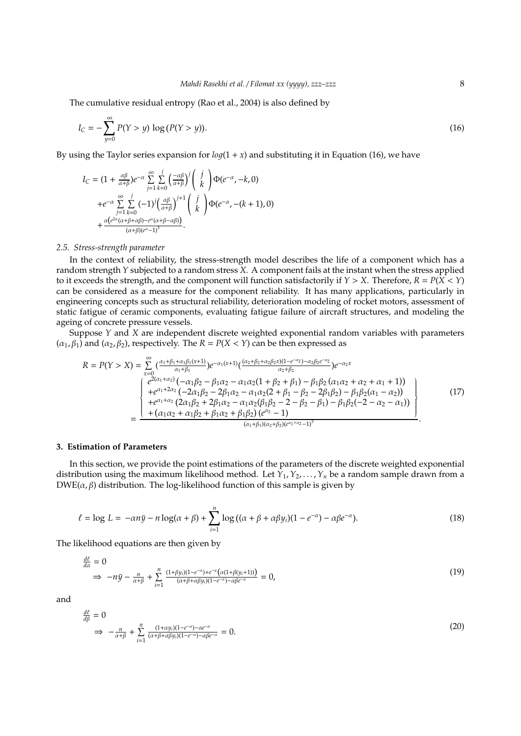The cumulative residual entropy (Rao et al., 2004) is also defined by

$$
I_C = -\sum_{y=0}^{\infty} P(Y > y) \log (P(Y > y)).
$$
\n(16)

By using the Taylor series expansion for  $log(1 + x)$  and substituting it in Equation (16), we have

$$
I_C = (1 + \frac{\alpha \beta}{\alpha + \beta})e^{-\alpha} \sum_{j=1}^{\infty} \sum_{k=0}^{j} \left(\frac{-\alpha \beta}{\alpha + \beta}\right)^j \left(\begin{array}{c} j \\ k \end{array}\right) \Phi(e^{-\alpha}, -k, 0)
$$
  
+  $e^{-\alpha} \sum_{j=1}^{\infty} \sum_{k=0}^{j} (-1)^j \left(\frac{\alpha \beta}{\alpha + \beta}\right)^{j+1} \left(\begin{array}{c} j \\ k \end{array}\right) \Phi(e^{-\alpha}, -(k+1), 0)$   
+  $\frac{\alpha(e^{2\alpha}(\alpha + \beta + \alpha\beta) - e^{\alpha}(\alpha + \beta - \alpha\beta))}{(\alpha + \beta)(e^{\alpha} - 1)^3}.$ 

#### *2.5. Stress-strength parameter*

In the context of reliability, the stress-strength model describes the life of a component which has a random strength *Y* subjected to a random stress *X*. A component fails at the instant when the stress applied to it exceeds the strength, and the component will function satisfactorily if *Y* > *X*. Therefore, *R* = *P*(*X* < *Y*) can be considered as a measure for the component reliability. It has many applications, particularly in engineering concepts such as structural reliability, deterioration modeling of rocket motors, assessment of static fatigue of ceramic components, evaluating fatigue failure of aircraft structures, and modeling the ageing of concrete pressure vessels.

Suppose *Y* and *X* are independent discrete weighted exponential random variables with parameters  $(\alpha_1, \beta_1)$  and  $(\alpha_2, \beta_2)$ , respectively. The  $R = P(X < Y)$  can be then expressed as

$$
R = P(Y > X) = \sum_{x=0}^{\infty} \left( \frac{\alpha_1 + \beta_1 + \alpha_1 \beta_1 (x+1)}{\alpha_1 + \beta_1} \right) e^{-\alpha_1 (x+1)} \left( \frac{(\alpha_2 + \beta_2 + \alpha_2 \beta_2 x)(1-e^{-\alpha_2}) - \alpha_2 \beta_2 e^{-\alpha_2}}{\alpha_2 + \beta_2} \right) e^{-\alpha_2 x} \n= \frac{\left( e^{2(\alpha_1 + \alpha_2)} \left( -\alpha_1 \beta_2 - \beta_1 \alpha_2 - \alpha_1 \alpha_2 (1 + \beta_2 + \beta_1) - \beta_1 \beta_2 (\alpha_1 \alpha_2 + \alpha_2 + \alpha_1 + 1) \right) \right)}{+e^{\alpha_1 + 2\alpha_2} \left( -2\alpha_1 \beta_2 - 2\beta_1 \alpha_2 - \alpha_1 \alpha_2 (2 + \beta_1 - \beta_2 - 2\beta_1 \beta_2) - \beta_1 \beta_2 (\alpha_1 - \alpha_2) \right)} + \left( \alpha_1 \alpha_2 + \alpha_1 \beta_2 + \beta_1 \alpha_2 - \alpha_1 \alpha_2 (\beta_1 \beta_2 - 2 - \beta_2 - \beta_1) - \beta_1 \beta_2 (-2 - \alpha_2 - \alpha_1) \right)}{\left( \alpha_1 + \beta_1 \right) (\alpha_2 + \beta_2) (e^{\alpha_2} - 1)} \right)}.
$$
\n(17)

#### **3. Estimation of Parameters**

In this section, we provide the point estimations of the parameters of the discrete weighted exponential distribution using the maximum likelihood method. Let  $\hat{Y}_1, \hat{Y}_2, \ldots, \hat{Y}_n$  be a random sample drawn from a  $DWE(\alpha, \beta)$  distribution. The log-likelihood function of this sample is given by

$$
\ell = \log L = -\alpha n \bar{y} - n \log(\alpha + \beta) + \sum_{i=1}^{n} \log((\alpha + \beta + \alpha \beta y_i)(1 - e^{-\alpha}) - \alpha \beta e^{-\alpha}).
$$
\n(18)

The likelihood equations are then given by

$$
\frac{d\ell}{d\alpha} = 0
$$
\n
$$
\Rightarrow -n\bar{y} - \frac{n}{\alpha + \beta} + \sum_{i=1}^{n} \frac{(1+\beta y_i)(1-e^{-\alpha})+e^{-\alpha}(\alpha(1+\beta(y_i+1)))}{(\alpha+\beta+\alpha\beta y_i)(1-e^{-\alpha})-\alpha\beta e^{-\alpha}} = 0,
$$
\n(19)

and

*d*ℓ

$$
\frac{d\ell}{d\beta} = 0
$$
\n
$$
\Rightarrow -\frac{n}{\alpha + \beta} + \sum_{i=1}^{n} \frac{(1+\alpha y_i)(1-e^{-\alpha})-\alpha e^{-\alpha}}{(\alpha + \beta + \alpha \beta y_i)(1-e^{-\alpha})-\alpha \beta e^{-\alpha}} = 0.
$$
\n(20)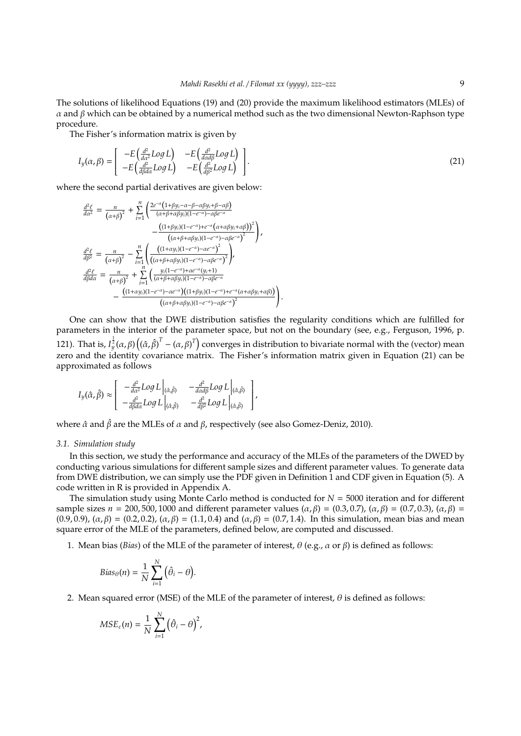The solutions of likelihood Equations (19) and (20) provide the maximum likelihood estimators (MLEs) of α and β which can be obtained by a numerical method such as the two dimensional Newton-Raphson type procedure.

The Fisher's information matrix is given by

$$
I_{y}(\alpha, \beta) = \begin{bmatrix} -E\left(\frac{d^{2}}{d\alpha^{2}}Log L\right) & -E\left(\frac{d^{2}}{d\alpha d\beta}Log L\right) \\ -E\left(\frac{d^{2}}{d\beta d\alpha}Log L\right) & -E\left(\frac{d^{2}}{d\beta^{2}}Log L\right) \end{bmatrix}.
$$
\n(21)

where the second partial derivatives are given below:

$$
\frac{d^2\ell}{d\alpha^2} = \frac{n}{(\alpha+\beta)^2} + \sum_{i=1}^n \left( \frac{2e^{-\alpha} (1+\beta y_i - \alpha - \beta - \alpha \beta y_i + \beta - \alpha \beta)}{(\alpha + \beta + \alpha \beta y_i)(1 - e^{-\alpha}) - \alpha \beta e^{-\alpha}} - \frac{\left( (1+\beta y_i)(1-e^{-\alpha}) - \alpha \beta e^{-\alpha} \right)^2}{(\alpha + \beta + \alpha \beta y_i)(1 - e^{-\alpha}) - \alpha \beta e^{-\alpha}^2} \right),
$$
\n
$$
\frac{d^2\ell}{d\beta^2} = \frac{n}{(\alpha+\beta)^2} - \sum_{i=1}^n \left( \frac{\left( (1+\alpha y_i)(1-e^{-\alpha}) - \alpha e^{-\alpha} \right)^2}{\left( (\alpha + \beta + \alpha \beta y_i)(1-e^{-\alpha}) - \alpha \beta e^{-\alpha} \right)^2} \right),
$$
\n
$$
\frac{d^2\ell}{d\beta d\alpha} = \frac{n}{(\alpha+\beta)^2} + \sum_{i=1}^n \left( \frac{y_i(1-e^{-\alpha}) + \alpha e^{-\alpha} (y_i + 1)}{(\alpha + \beta + \alpha \beta y_i)(1 - e^{-\alpha}) - \alpha \beta e^{-\alpha}} - \frac{\left( (1+\alpha y_i)(1-e^{-\alpha}) - \alpha e^{-\alpha} \right)^2 (1+\beta y_i)(1-e^{-\alpha}) + e^{-\alpha} (\alpha + \alpha \beta y_i + \alpha \beta)} \right) - \frac{\left( (1+\alpha y_i)(1-e^{-\alpha}) - \alpha e^{-\alpha} \right)^2 (1+\beta y_i)(1-e^{-\alpha}) - \alpha \beta e^{-\alpha} \right)^2}{\left( (\alpha + \beta + \alpha \beta y_i)(1-e^{-\alpha}) - \alpha \beta e^{-\alpha} \right)^2}.
$$

One can show that the DWE distribution satisfies the regularity conditions which are fulfilled for parameters in the interior of the parameter space, but not on the boundary (see, e.g., Ferguson, 1996, p. 121). That is,  $I_y^{\frac{1}{2}}(\alpha,\beta)\left((\hat\alpha,\hat\beta)^T-(\alpha,\beta)^T\right)$  converges in distribution to bivariate normal with the (vector) mean zero and the identity covariance matrix. The Fisher's information matrix given in Equation (21) can be approximated as follows

$$
I_{y}(\hat{\alpha},\hat{\beta}) \approx \begin{bmatrix} -\frac{d^{2}}{d\alpha^{2}}Log L \Big|_{(\hat{\alpha},\hat{\beta})} & -\frac{d^{2}}{d\alpha d\beta}Log L \Big|_{(\hat{\alpha},\hat{\beta})} \\ -\frac{d^{2}}{d\beta d\alpha}Log L \Big|_{(\hat{\alpha},\hat{\beta})} & -\frac{d^{2}}{d\beta^{2}}Log L \Big|_{(\hat{\alpha},\hat{\beta})} \end{bmatrix},
$$

where  $\hat{\alpha}$  and  $\hat{\beta}$  are the MLEs of  $\alpha$  and  $\beta$ , respectively (see also Gomez-Deniz, 2010).

#### *3.1. Simulation study*

In this section, we study the performance and accuracy of the MLEs of the parameters of the DWED by conducting various simulations for different sample sizes and different parameter values. To generate data from DWE distribution, we can simply use the PDF given in Definition 1 and CDF given in Equation (5). A code written in R is provided in Appendix A.

The simulation study using Monte Carlo method is conducted for  $N = 5000$  iteration and for different sample sizes  $n = 200, 500, 1000$  and different parameter values  $(α, β) = (0.3, 0.7), (α, β) = (0.7, 0.3), (α, β) = (0.7, 0.3)$ (0.9, 0.9), ( $\alpha$ ,  $\beta$ ) = (0.2, 0.2), ( $\alpha$ ,  $\beta$ ) = (1.1, 0.4) and ( $\alpha$ ,  $\beta$ ) = (0.7, 1.4). In this simulation, mean bias and mean square error of the MLE of the parameters, defined below, are computed and discussed.

1. Mean bias (*Bias*) of the MLE of the parameter of interest,  $\theta$  (e.g.,  $\alpha$  or  $\beta$ ) is defined as follows:

$$
Bias_{\theta}(n) = \frac{1}{N} \sum_{i=1}^{N} (\hat{\theta}_i - \theta).
$$

2. Mean squared error (MSE) of the MLE of the parameter of interest,  $\theta$  is defined as follows:

$$
MSE_{\varepsilon}(n)=\frac{1}{N}\sum_{i=1}^N(\hat{\theta}_i-\theta)^2,
$$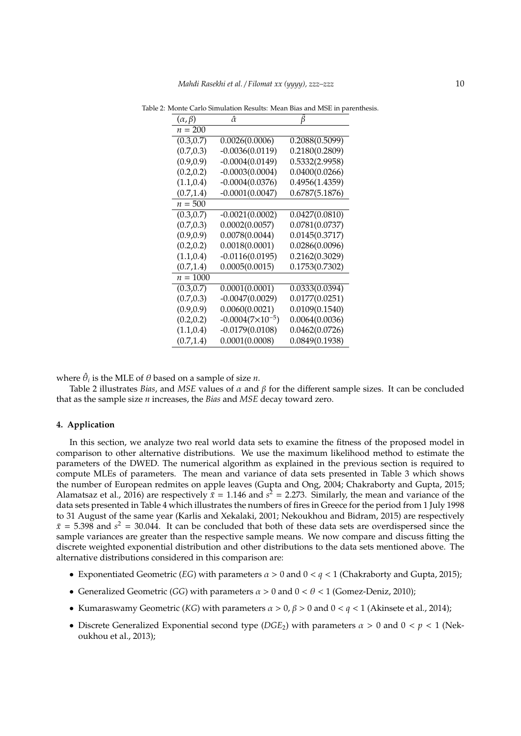| $(\alpha, \beta)$ | â                         |                |
|-------------------|---------------------------|----------------|
| $n = 200$         |                           |                |
| (0.3, 0.7)        | 0.0026(0.0006)            | 0.2088(0.5099) |
| (0.7, 0.3)        | $-0.0036(0.0119)$         | 0.2180(0.2809) |
| (0.9, 0.9)        | $-0.0004(0.0149)$         | 0.5332(2.9958) |
| (0.2, 0.2)        | $-0.0003(0.0004)$         | 0.0400(0.0266) |
| (1.1, 0.4)        | $-0.0004(0.0376)$         | 0.4956(1.4359) |
| (0.7, 1.4)        | $-0.0001(0.0047)$         | 0.6787(5.1876) |
| $n = 500$         |                           |                |
| (0.3, 0.7)        | $-0.0021(0.0002)$         | 0.0427(0.0810) |
| (0.7, 0.3)        | 0.0002(0.0057)            | 0.0781(0.0737) |
| (0.9, 0.9)        | 0.0078(0.0044)            | 0.0145(0.3717) |
| (0.2, 0.2)        | 0.0018(0.0001)            | 0.0286(0.0096) |
| (1.1, 0.4)        | $-0.0116(0.0195)$         | 0.2162(0.3029) |
| (0.7, 1.4)        | 0.0005(0.0015)            | 0.1753(0.7302) |
| $n = 1000$        |                           |                |
| (0.3, 0.7)        | 0.0001(0.0001)            | 0.0333(0.0394) |
| (0.7, 0.3)        | $-0.0047(0.0029)$         | 0.0177(0.0251) |
| (0.9, 0.9)        | 0.0060(0.0021)            | 0.0109(0.1540) |
| (0.2, 0.2)        | $-0.0004(7\times10^{-5})$ | 0.0064(0.0036) |
| (1.1, 0.4)        | $-0.0179(0.0108)$         | 0.0462(0.0726) |
| (0.7, 1.4)        | 0.0001(0.0008)            | 0.0849(0.1938) |

Table 2: Monte Carlo Simulation Results: Mean Bias and MSE in parenthesis.

where  $\hat{\theta}_i$  is the MLE of  $\theta$  based on a sample of size *n*.

Table 2 illustrates *Bias*, and *MSE* values of  $\alpha$  and  $\beta$  for the different sample sizes. It can be concluded that as the sample size *n* increases, the *Bias* and *MSE* decay toward zero.

### **4. Application**

In this section, we analyze two real world data sets to examine the fitness of the proposed model in comparison to other alternative distributions. We use the maximum likelihood method to estimate the parameters of the DWED. The numerical algorithm as explained in the previous section is required to compute MLEs of parameters. The mean and variance of data sets presented in Table 3 which shows the number of European redmites on apple leaves (Gupta and Ong, 2004; Chakraborty and Gupta, 2015; Alamatsaz et al., 2016) are respectively  $\bar{x} = 1.146$  and  $s^2 = 2.273$ . Similarly, the mean and variance of the data sets presented in Table 4 which illustrates the numbers of fires in Greece for the period from 1 July 1998 to 31 August of the same year (Karlis and Xekalaki, 2001; Nekoukhou and Bidram, 2015) are respectively  $\bar{x}$  = 5.398 and  $s^2$  = 30.044. It can be concluded that both of these data sets are overdispersed since the sample variances are greater than the respective sample means. We now compare and discuss fitting the discrete weighted exponential distribution and other distributions to the data sets mentioned above. The alternative distributions considered in this comparison are:

- Exponentiated Geometric (*EG*) with parameters  $\alpha > 0$  and  $0 < q < 1$  (Chakraborty and Gupta, 2015);
- Generalized Geometric (*GG*) with parameters  $\alpha > 0$  and  $0 < \theta < 1$  (Gomez-Deniz, 2010);
- Kumaraswamy Geometric (*KG*) with parameters  $\alpha > 0$ ,  $\beta > 0$  and  $0 < q < 1$  (Akinsete et al., 2014);
- Discrete Generalized Exponential second type  $(DGE_2)$  with parameters  $\alpha > 0$  and  $0 < p < 1$  (Nekoukhou et al., 2013);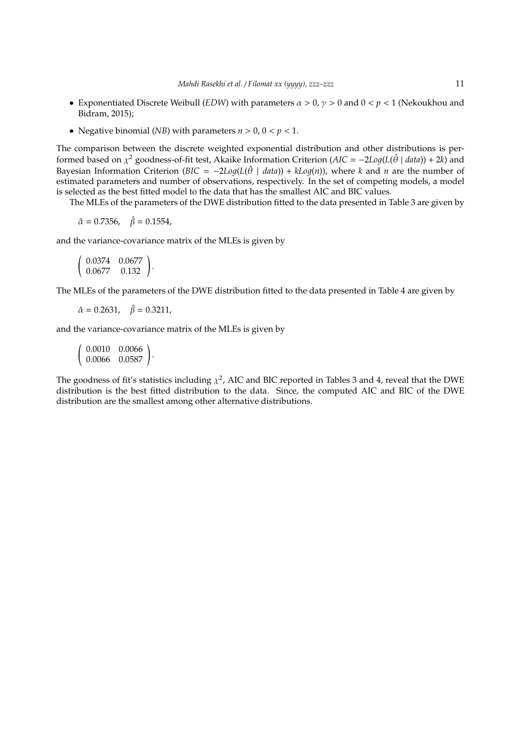- Exponentiated Discrete Weibull *(EDW)* with parameters  $\alpha > 0$ ,  $\gamma > 0$  and  $0 < p < 1$  (Nekoukhou and Bidram, 2015);
- Negative binomial (*NB*) with parameters  $n > 0$ ,  $0 < p < 1$ .

The comparison between the discrete weighted exponential distribution and other distributions is performed based on  $\chi^2$  goodness-of-fit test, Akaike Information Criterion (*AIC* =  $-2Log(L(\hat{\theta} \mid data)) + 2k)$  and Bayesian Information Criterion (*BIC* =  $-2Log(L(\hat{\theta} \mid data)) + kLog(n))$ , where *k* and *n* are the number of estimated parameters and number of observations, respectively. In the set of competing models, a model is selected as the best fitted model to the data that has the smallest AIC and BIC values.

The MLEs of the parameters of the DWE distribution fitted to the data presented in Table 3 are given by

 $\hat{\alpha} = 0.7356, \quad \hat{\beta} = 0.1554,$ 

and the variance-covariance matrix of the MLEs is given by

```
\begin{pmatrix} 0.0374 & 0.0677 \\ 0.0677 & 0.132 \end{pmatrix}.
```
The MLEs of the parameters of the DWE distribution fitted to the data presented in Table 4 are given by

 $\hat{\alpha} = 0.2631, \quad \hat{\beta} = 0.3211,$ 

and the variance-covariance matrix of the MLEs is given by

 $\left(\begin{array}{cc} 0.0010 & 0.0066 \ 0.0066 & 0.0587 \end{array}\right).$ 

The goodness of fit's statistics including  $\chi^2$ , AIC and BIC reported in Tables 3 and 4, reveal that the DWE distribution is the best fitted distribution to the data. Since, the computed AIC and BIC of the DWE distribution are the smallest among other alternative distributions.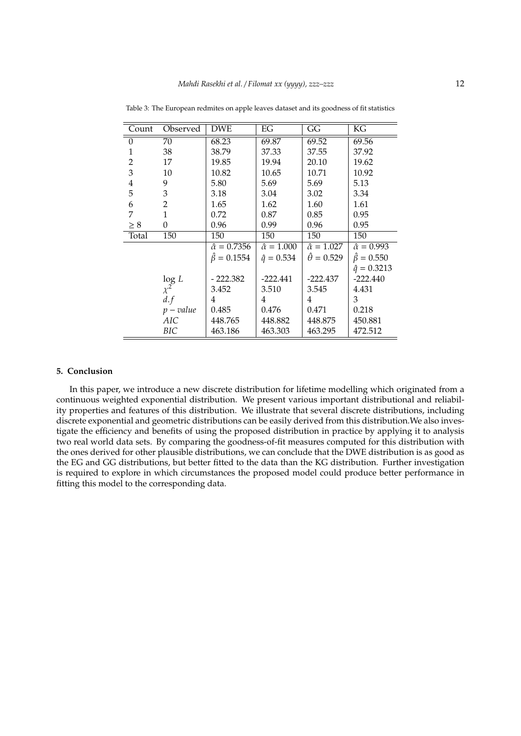| Count          | Observed                                              | <b>DWE</b>              | EG                     | GG                      | KG                     |
|----------------|-------------------------------------------------------|-------------------------|------------------------|-------------------------|------------------------|
| $\theta$       | 70                                                    | 68.23                   | 69.87                  | 69.52                   | 69.56                  |
| 1              | 38                                                    | 38.79                   | 37.33                  | 37.55                   | 37.92                  |
| $\overline{2}$ | 17                                                    | 19.85                   | 19.94                  | 20.10                   | 19.62                  |
| 3              | 10                                                    | 10.82                   | 10.65                  | 10.71                   | 10.92                  |
| $\overline{4}$ | 9                                                     | 5.80                    | 5.69                   | 5.69                    | 5.13                   |
| 5              | 3                                                     | 3.18                    | 3.04                   | 3.02                    | 3.34                   |
| 6              | $\overline{2}$                                        | 1.65                    | 1.62                   | 1.60                    | 1.61                   |
| 7              | 1                                                     | 0.72                    | 0.87                   | 0.85                    | 0.95                   |
| $\geq 8$       | $\overline{0}$                                        | 0.96                    | 0.99                   | 0.96                    | 0.95                   |
| Total          | 150                                                   | 150                     | 150                    | 150                     | 150                    |
|                |                                                       | $\hat{\alpha} = 0.7356$ | $\hat{\alpha} = 1.000$ | $\hat{\alpha} = 1.027$  | $\hat{\alpha} = 0.993$ |
|                |                                                       | $\hat{\beta} = 0.1554$  | $\hat{q} = 0.534$      | $\ddot{\theta} = 0.529$ | $\hat{\beta} = 0.550$  |
|                |                                                       |                         |                        |                         | $\hat{q} = 0.3213$     |
|                | $\begin{array}{l} \log\,L\\ \chi^2\\ d.f \end{array}$ | $-222.382$              | $-222.441$             | $-222.437$              | $-222.440$             |
|                |                                                       | 3.452                   | 3.510                  | 3.545                   | 4.431                  |
|                |                                                       | 4                       | 4                      | 4                       | 3                      |
|                | $p-value$                                             | 0.485                   | 0.476                  | 0.471                   | 0.218                  |
|                | <b>AIC</b>                                            | 448.765                 | 448.882                | 448.875                 | 450.881                |
|                | BIC                                                   | 463.186                 | 463.303                | 463.295                 | 472.512                |

Table 3: The European redmites on apple leaves dataset and its goodness of fit statistics

#### **5. Conclusion**

In this paper, we introduce a new discrete distribution for lifetime modelling which originated from a continuous weighted exponential distribution. We present various important distributional and reliability properties and features of this distribution. We illustrate that several discrete distributions, including discrete exponential and geometric distributions can be easily derived from this distribution.We also investigate the efficiency and benefits of using the proposed distribution in practice by applying it to analysis two real world data sets. By comparing the goodness-of-fit measures computed for this distribution with the ones derived for other plausible distributions, we can conclude that the DWE distribution is as good as the EG and GG distributions, but better fitted to the data than the KG distribution. Further investigation is required to explore in which circumstances the proposed model could produce better performance in fitting this model to the corresponding data.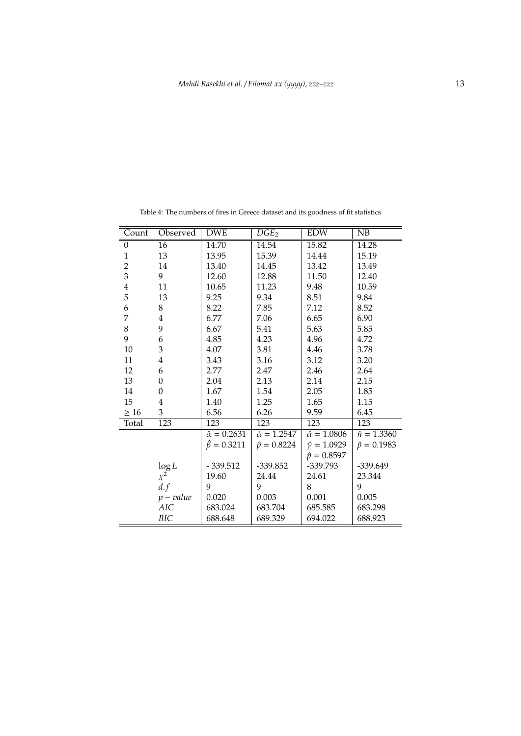| Count            | Observed             | <b>DWE</b>              | $DGE_2$                 | <b>EDW</b>              | NB                 |
|------------------|----------------------|-------------------------|-------------------------|-------------------------|--------------------|
| $\boldsymbol{0}$ | $\overline{16}$      | 14.70                   | 14.54                   | 15.82                   | 14.28              |
| $\mathbf{1}$     | 13                   | 13.95                   | 15.39                   | 14.44                   | 15.19              |
| $\overline{2}$   | 14                   | 13.40                   | 14.45                   | 13.42                   | 13.49              |
| $\overline{3}$   | 9                    | 12.60                   | 12.88                   | 11.50                   | 12.40              |
| $\overline{4}$   | 11                   | 10.65                   | 11.23                   | 9.48                    | 10.59              |
| 5                | 13                   | 9.25                    | 9.34                    | 8.51                    | 9.84               |
| 6                | 8                    | 8.22                    | 7.85                    | 7.12                    | 8.52               |
| 7                | $\overline{4}$       | 6.77                    | 7.06                    | 6.65                    | 6.90               |
| 8                | 9                    | 6.67                    | 5.41                    | 5.63                    | 5.85               |
| 9                | 6                    | 4.85                    | 4.23                    | 4.96                    | 4.72               |
| 10               | 3                    | 4.07                    | 3.81                    | 4.46                    | 3.78               |
| 11               | $\overline{4}$       | 3.43                    | 3.16                    | 3.12                    | 3.20               |
| 12               | 6                    | 2.77                    | 2.47                    | 2.46                    | 2.64               |
| 13               | $\overline{0}$       | 2.04                    | 2.13                    | 2.14                    | 2.15               |
| 14               | $\theta$             | 1.67                    | 1.54                    | 2.05                    | 1.85               |
| 15               | $\overline{4}$       | 1.40                    | 1.25                    | 1.65                    | 1.15               |
| $\geq 16$        | 3                    | 6.56                    | 6.26                    | 9.59                    | 6.45               |
| Total            | 123                  | 123                     | 123                     | 123                     | 123                |
|                  |                      | $\hat{\alpha} = 0.2631$ | $\hat{\alpha} = 1.2547$ | $\hat{\alpha} = 1.0806$ | $\hat{n} = 1.3360$ |
|                  |                      | $\hat{\beta} = 0.3211$  | $\hat{p} = 0.8224$      | $\hat{\gamma} = 1.0929$ | $\hat{p} = 0.1983$ |
|                  |                      |                         |                         | $\hat{p} = 0.8597$      |                    |
|                  | $\log L$<br>$\chi^2$ | $-339.512$              | $-339.852$              | $-339.793$              | $-339.649$         |
|                  |                      | 19.60                   | 24.44                   | 24.61                   | 23.344             |
|                  | d.f                  | 9                       | 9                       | 8                       | 9                  |
|                  | $p-value$            | 0.020                   | 0.003                   | 0.001                   | 0.005              |
|                  | AIC                  | 683.024                 | 683.704                 | 685.585                 | 683.298            |
|                  | BIC                  | 688.648                 | 689.329                 | 694.022                 | 688.923            |

Table 4: The numbers of fires in Greece dataset and its goodness of fit statistics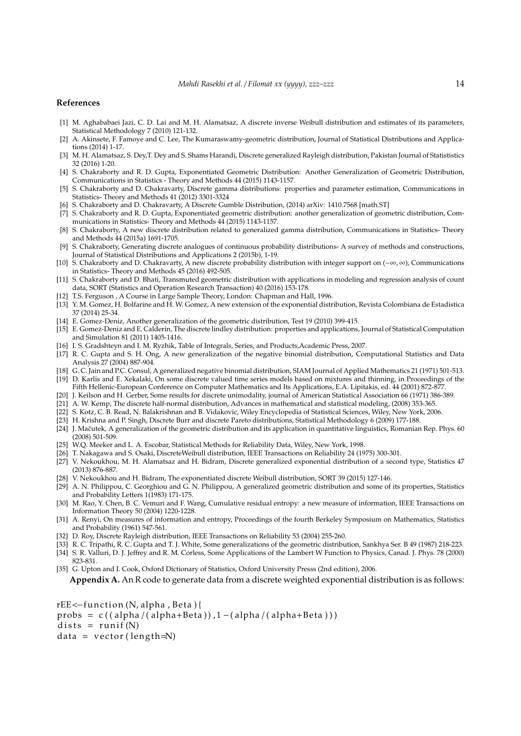#### **References**

- [1] M. Aghababaei Jazi, C. D. Lai and M. H. Alamatsaz, A discrete inverse Weibull distribution and estimates of its parameters, Statistical Methodology 7 (2010) 121-132.
- [2] A. Akinsete, F. Famoye and C. Lee, The Kumaraswamy-geometric distribution, Journal of Statistical Distributions and Applications (2014) 1-17.
- [3] M. H. Alamatsaz, S. Dey,T. Dey and S. Shams Harandi, Discrete generalized Rayleigh distribution, Pakistan Journal of Statististics 32 (2016) 1-20.
- [4] S. Chakraborty and R. D. Gupta, Exponentiated Geometric Distribution: Another Generalization of Geometric Distribution, Communications in Statistics - Theory and Methods 44 (2015) 1143-1157.
- [5] S. Chakraborty and D. Chakravarty, Discrete gamma distributions: properties and parameter estimation, Communications in Statistics- Theory and Methods 41 (2012) 3301-3324
- [6] S. Chakraborty and D. Chakravarty, A Discrete Gumble Distribution, (2014) arXiv: 1410.7568 [math.ST]
- [7] S. Chakraborty and R. D. Gupta, Exponentiated geometric distribution: another generalization of geometric distribution, Communications in Statistics- Theory and Methods 44 (2015) 1143-1157.
- [8] S. Chakraborty, A new discrete distribution related to generalized gamma distribution, Communications in Statistics- Theory and Methods 44 (2015a) 1691-1705.
- [9] S. Chakraborty, Generating discrete analogues of continuous probability distributions- A survey of methods and constructions, Journal of Statistical Distributions and Applications 2 (2015b), 1-19.
- [10] S. Chakraborty and D. Chakravarty, A new discrete probability distribution with integer support on (−∞, ∞), Communications in Statistics- Theory and Methods 45 (2016) 492-505.
- [11] S. Chakraborty and D. Bhati, Transmuted geometric distribution with applications in modeling and regression analysis of count data, SORT (Statistics and Operation Research Transaction) 40 (2016) 153-178.
- [12] T.S. Ferguson , A Course in Large Sample Theory, London: Chapman and Hall, 1996.
- [13] Y. M. Gomez, H. Bolfarine and H. W. Gomez, A new extension of the exponential distribution, Revista Colombiana de Estadistica 37 (2014) 25-34.
- [14] E. Gomez-Deniz, Another generalization of the geometric distribution, Test 19 (2010) 399-415.
- [15] E. Gomez-Deniz and E. Calderin, The discrete lindley distribution: properties and applications, Journal of Statistical Computation and Simulation 81 (2011) 1405-1416.
- [16] I. S. Gradshteyn and I. M. Ryzhik, Table of Integrals, Series, and Products,Academic Press, 2007.
- [17] R. C. Gupta and S. H. Ong, A new generalization of the negative binomial distribution, Computational Statistics and Data Analysis 27 (2004) 887-904.
- [18] G. C. Jain and P.C. Consul, A generalized negative binomial distribution, SIAM Journal of Applied Mathematics 21 (1971) 501-513. [19] D. Karlis and E. Xekalaki, On some discrete valued time series models based on mixtures and thinning, in Proceedings of the
- Fifth Hellenic-European Conference on Computer Mathematics and Its Applications, E.A. Lipitakis, ed. 44 (2001) 872-877.
- [20] J. Keilson and H. Gerber, Some results for discrete unimodality, journal of American Statistical Association 66 (1971) 386-389.
- [21] A. W. Kemp, The discrete half-normal distribution, Advances in mathematical and statistical modeling, (2008) 353-365. [22] S. Kotz, C. B. Read, N. Balakrishnan and B. Vidakovic, Wiley Encyclopedia of Statistical Sciences, Wiley, New York, 2006.
- [23] H. Krishna and P. Singh, Discrete Burr and discrete Pareto distributions, Statistical Methodology 6 (2009) 177-188.
- [24] J. Mačutek, A generalization of the geometric distribution and its application in quantitative linguistics, Romanian Rep. Phys. 60 (2008) 501-509.
- [25] W.Q. Meeker and L. A. Escobar, Statistical Methods for Reliability Data, Wiley, New York, 1998.
- [26] T. Nakagawa and S. Osaki, DiscreteWeibull distribution, IEEE Transactions on Reliability 24 (1975) 300-301.
- [27] V. Nekoukhou, M. H. Alamatsaz and H. Bidram, Discrete generalized exponential distribution of a second type, Statistics 47 (2013) 876-887.
- [28] V. Nekoukhou and H. Bidram, The exponentiated discrete Weibull distribution, SORT 39 (2015) 127-146.
- [29] A. N. Philippou, C. Georghiou and G. N. Philippou, A generalized geometric distribution and some of its properties, Statistics and Probability Letters 1(1983) 171-175.
- [30] M. Rao, Y. Chen, B. C. Vemuri and F. Wang, Cumulative residual entropy: a new measure of information, IEEE Transactions on Information Theory 50 (2004) 1220-1228.
- [31] A. Renyi, On measures of information and entropy, Proceedings of the fourth Berkeley Symposium on Mathematics, Statistics and Probability (1961) 547-561.
- [32] D. Roy, Discrete Rayleigh distribution, IEEE Transactions on Reliability 53 (2004) 255-260.
- [33] R. C. Tripathi, R. C. Gupta and T. J. White, Some generalizations of the geometric distribution, Sankhya Ser. B 49 (1987) 218-223.
- [34] S. R. Valluri, D. J. Jeffrey and R. M. Corless, Some Applications of the Lambert W Function to Physics, Canad. J. Phys. 78 (2000) 823-831.
- [35] G. Upton and I. Cook, Oxford Dictionary of Statistics, Oxford University Presss (2nd edition), 2006.

**Appendix A.** An R code to generate data from a discrete weighted exponential distribution is as follows:

- $rEE$  < function (N, alpha, Beta) {
- probs =  $c((\alpha \ln \alpha / (\alpha \ln \alpha + \beta)$ , 1 – $(\alpha \ln \alpha / (\alpha \ln \alpha + \beta))$

 $dists = runif(N)$ 

 $data = vector (length=N)$